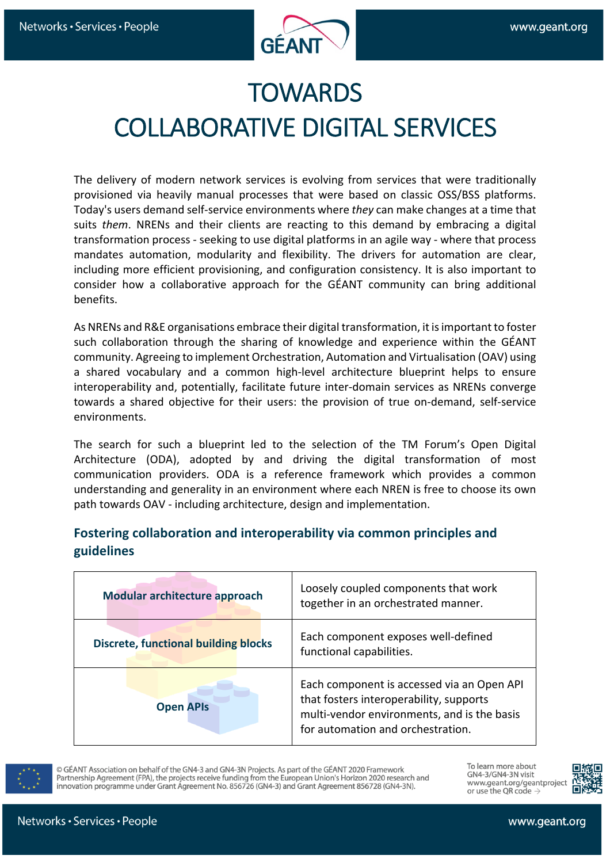

## **TOWARDS** COLLABORATIVE DIGITAL SERVICES

The delivery of modern network services is evolving from services that were traditionally provisioned via heavily manual processes that were based on classic OSS/BSS platforms. Today's users demand self-service environments where *they* can make changes at a time that suits *them*. NRENs and their clients are reacting to this demand by embracing a digital transformation process - seeking to use digital platforms in an agile way - where that process mandates automation, modularity and flexibility. The drivers for automation are clear, including more efficient provisioning, and configuration consistency. It is also important to consider how a collaborative approach for the GÉANT community can bring additional benefits.

As NRENs and R&E organisations embrace their digital transformation, it is important to foster such collaboration through the sharing of knowledge and experience within the GÉANT community. Agreeing to implement Orchestration, Automation and Virtualisation (OAV) using a shared vocabulary and a common high-level architecture blueprint helps to ensure interoperability and, potentially, facilitate future inter-domain services as NRENs converge towards a shared objective for their users: the provision of true on-demand, self-service environments.

The search for such a blueprint led to the selection of the TM Forum's Open Digital Architecture (ODA), adopted by and driving the digital transformation of most communication providers. ODA is a reference framework which provides a common understanding and generality in an environment where each NREN is free to choose its own path towards OAV - including architecture, design and implementation.

#### **Fostering collaboration and interoperability via common principles and guidelines**

| Modular architecture approach               | Loosely coupled components that work<br>together in an orchestrated manner.                                                                                               |
|---------------------------------------------|---------------------------------------------------------------------------------------------------------------------------------------------------------------------------|
| <b>Discrete, functional building blocks</b> | Each component exposes well-defined<br>functional capabilities.                                                                                                           |
| <b>Open APIs</b>                            | Each component is accessed via an Open API<br>that fosters interoperability, supports<br>multi-vendor environments, and is the basis<br>for automation and orchestration. |



C GÉANT Association on behalf of the GN4-3 and GN4-3N Projects. As part of the GÉANT 2020 Framework Partnership Agreement (FPA), the projects receive funding from the European Union's Horizon 2020 research and innovation programme under Grant Agreement No. 856726 (GN4-3) and Grant Agreement 856728 (GN4-3N).

To learn more about GN4-3/GN4-3N visit www.geant.org/geantproject or use the QR code  $\rightarrow$ 

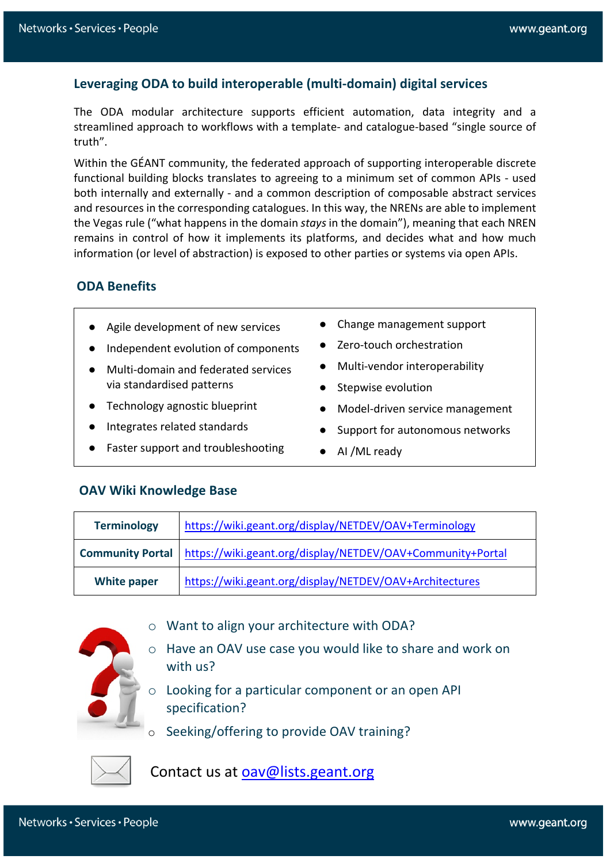#### **Leveraging ODA to build interoperable (multi-domain) digital services**

The ODA modular architecture supports efficient automation, data integrity and a streamlined approach to workflows with a template- and catalogue-based "single source of truth".

Within the GÉANT community, the federated approach of supporting interoperable discrete functional building blocks translates to agreeing to a minimum set of common APIs - used both internally and externally - and a common description of composable abstract services and resources in the corresponding catalogues. In this way, the NRENs are able to implement the Vegas rule ("what happens in the domain *stays* in the domain"), meaning that each NREN remains in control of how it implements its platforms, and decides what and how much information (or level of abstraction) is exposed to other parties or systems via open APIs.

#### **ODA Benefits**

- Agile development of new services
- Independent evolution of components
- Multi-domain and federated services via standardised patterns
- Technology agnostic blueprint
- Integrates related standards
- Faster support and troubleshooting
- Change management support
- Zero-touch orchestration
- Multi-vendor interoperability
- Stepwise evolution
- Model-driven service management
- Support for autonomous networks
- AI /ML ready

#### **OAV Wiki Knowledge Base**

| <b>Terminology</b> | https://wiki.geant.org/display/NETDEV/OAV+Terminology                         |
|--------------------|-------------------------------------------------------------------------------|
|                    | Community Portal   https://wiki.geant.org/display/NETDEV/OAV+Community+Portal |
| <b>White paper</b> | https://wiki.geant.org/display/NETDEV/OAV+Architectures                       |

- o Want to align your architecture with ODA?
- o Have an OAV use case you would like to share and work on with us?
- o Looking for a particular component or an open API specification?
- Seeking/offering to provide OAV training?



Contact us at oav@lists.geant.org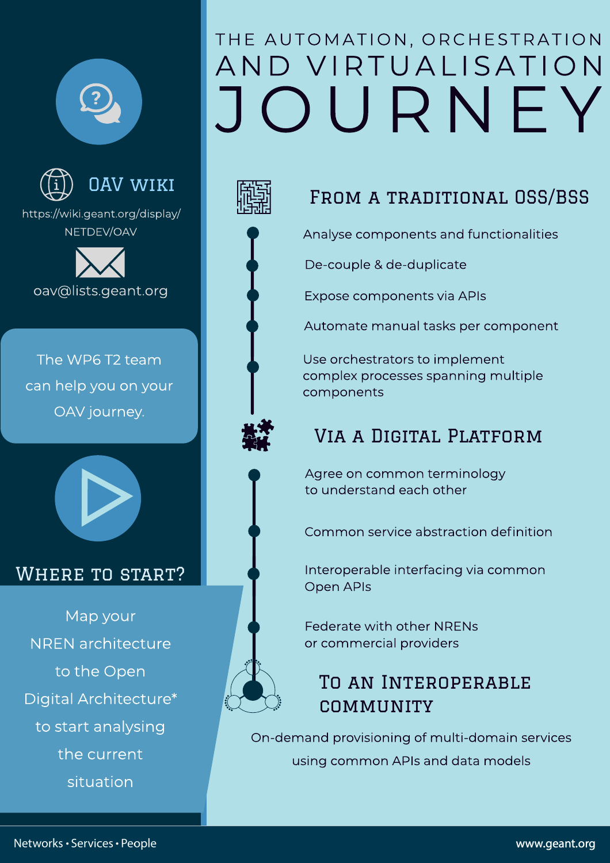



## **OAV WIKI**

https://wiki.geant.org/display/ NFTDFV/OAV



The WP6 T2 team can help you on your OAV journey.



#### **WHERE TO START?**

Map your **NREN** architecture to the Open Digital Architecture\* to start analysing the current situation

## THE AUTOMATION, ORCHESTRATION AND VIRTUALISATION OURNEY



#### FROM A TRADITIONAL OSS/BSS

Analyse components and functionalities

De-couple & de-duplicate

Expose components via APIs

Automate manual tasks per component

Use orchestrators to implement complex processes spanning multiple components

### VIA A DIGITAL PLATFORM

Agree on common terminology to understand each other

Common service abstraction definition

Interoperable interfacing via common Open APIs

Federate with other NRFNs or commercial providers

### TO AN INTEROPERABLE COMMUNITY

On-demand provisioning of multi-domain services using common APIs and data models